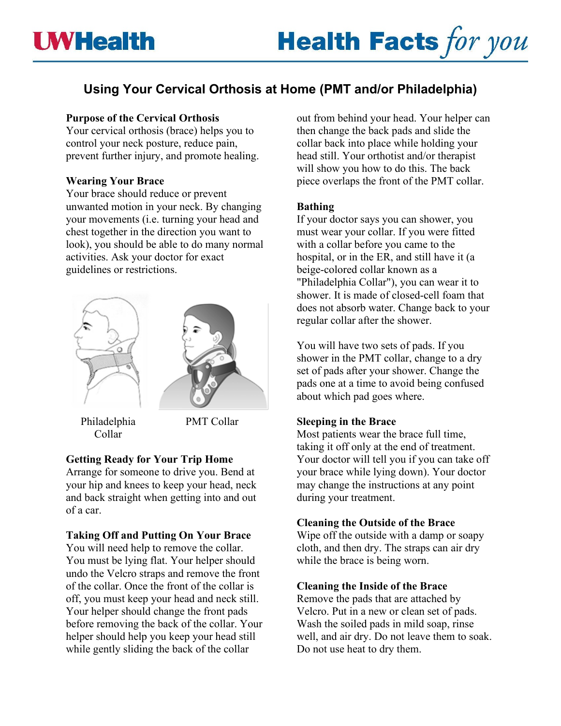# **Using Your Cervical Orthosis at Home (PMT and/or Philadelphia)**

# **Purpose of the Cervical Orthosis**

Your cervical orthosis (brace) helps you to control your neck posture, reduce pain, prevent further injury, and promote healing.

## **Wearing Your Brace**

Your brace should reduce or prevent unwanted motion in your neck. By changing your movements (i.e. turning your head and chest together in the direction you want to look), you should be able to do many normal activities. Ask your doctor for exact guidelines or restrictions.





Philadelphia Collar

PMT Collar

# **Getting Ready for Your Trip Home**

Arrange for someone to drive you. Bend at your hip and knees to keep your head, neck and back straight when getting into and out of a car.

# **Taking Off and Putting On Your Brace**

You will need help to remove the collar. You must be lying flat. Your helper should undo the Velcro straps and remove the front of the collar. Once the front of the collar is off, you must keep your head and neck still. Your helper should change the front pads before removing the back of the collar. Your helper should help you keep your head still while gently sliding the back of the collar

out from behind your head. Your helper can then change the back pads and slide the collar back into place while holding your head still. Your orthotist and/or therapist will show you how to do this. The back piece overlaps the front of the PMT collar.

# **Bathing**

If your doctor says you can shower, you must wear your collar. If you were fitted with a collar before you came to the hospital, or in the ER, and still have it (a beige-colored collar known as a "Philadelphia Collar"), you can wear it to shower. It is made of closed-cell foam that does not absorb water. Change back to your regular collar after the shower.

You will have two sets of pads. If you shower in the PMT collar, change to a dry set of pads after your shower. Change the pads one at a time to avoid being confused about which pad goes where.

# **Sleeping in the Brace**

Most patients wear the brace full time, taking it off only at the end of treatment. Your doctor will tell you if you can take off your brace while lying down). Your doctor may change the instructions at any point during your treatment.

## **Cleaning the Outside of the Brace**

Wipe off the outside with a damp or soapy cloth, and then dry. The straps can air dry while the brace is being worn.

# **Cleaning the Inside of the Brace**

Remove the pads that are attached by Velcro. Put in a new or clean set of pads. Wash the soiled pads in mild soap, rinse well, and air dry. Do not leave them to soak. Do not use heat to dry them.